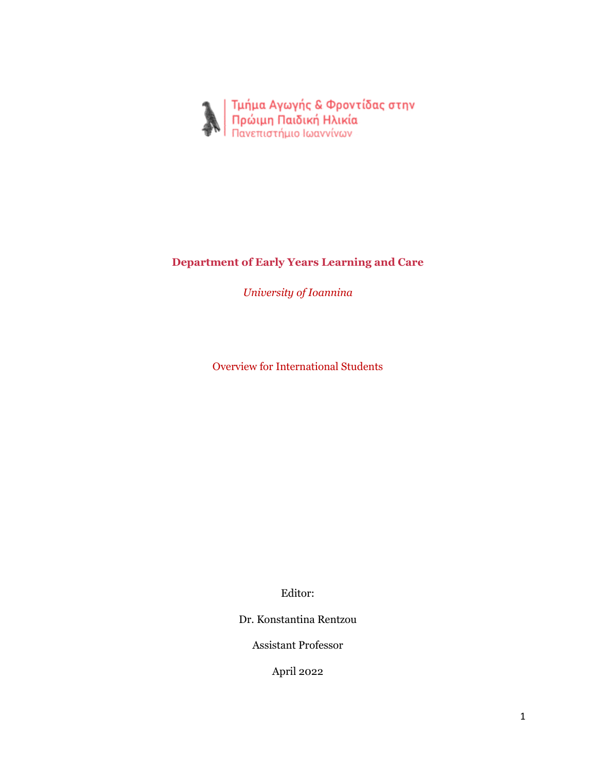

## **Department of Early Years Learning and Care**

*University of Ioannina*

Overview for International Students

Editor:

Dr. Konstantina Rentzou

Assistant Professor

April 2022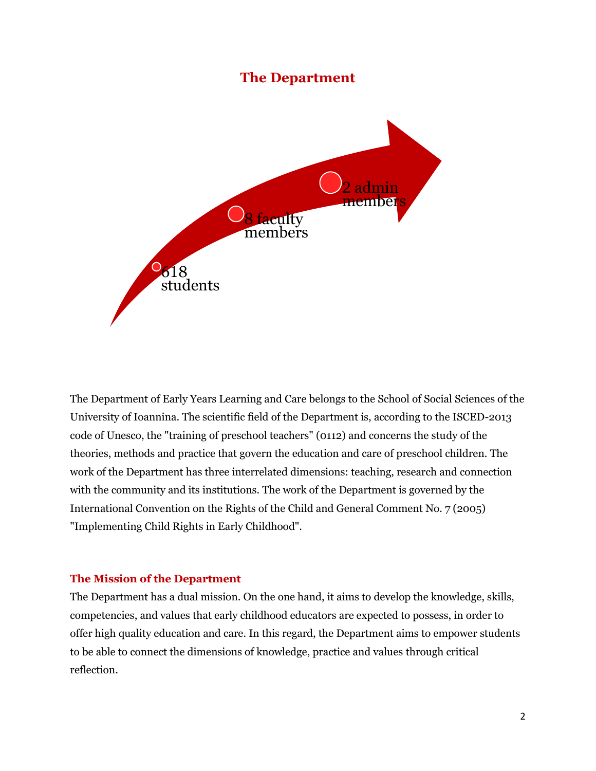# **The Department**



The Department of Early Years Learning and Care belongs to the School of Social Sciences of the University of Ioannina. The scientific field of the Department is, according to the ISCED-2013 code of Unesco, the "training of preschool teachers" (0112) and concerns the study of the theories, methods and practice that govern the education and care of preschool children. The work of the Department has three interrelated dimensions: teaching, research and connection with the community and its institutions. The work of the Department is governed by the International Convention on the Rights of the Child and General Comment No. 7 (2005) "Implementing Child Rights in Early Childhood".

#### **The Mission of the Department**

The Department has a dual mission. On the one hand, it aims to develop the knowledge, skills, competencies, and values that early childhood educators are expected to possess, in order to offer high quality education and care. In this regard, the Department aims to empower students to be able to connect the dimensions of knowledge, practice and values through critical reflection.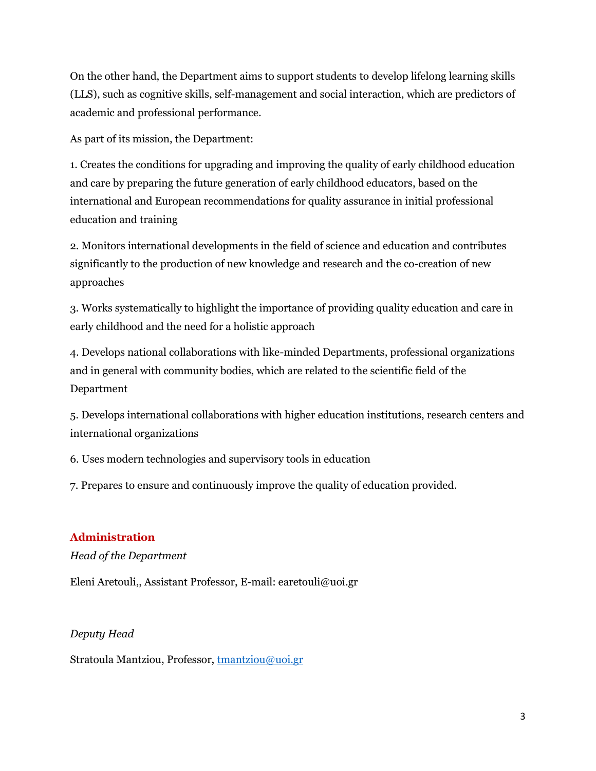On the other hand, the Department aims to support students to develop lifelong learning skills (LLS), such as cognitive skills, self-management and social interaction, which are predictors of academic and professional performance.

As part of its mission, the Department:

1. Creates the conditions for upgrading and improving the quality of early childhood education and care by preparing the future generation of early childhood educators, based on the international and European recommendations for quality assurance in initial professional education and training

2. Monitors international developments in the field of science and education and contributes significantly to the production of new knowledge and research and the co-creation of new approaches

3. Works systematically to highlight the importance of providing quality education and care in early childhood and the need for a holistic approach

4. Develops national collaborations with like-minded Departments, professional organizations and in general with community bodies, which are related to the scientific field of the Department

5. Develops international collaborations with higher education institutions, research centers and international organizations

6. Uses modern technologies and supervisory tools in education

7. Prepares to ensure and continuously improve the quality of education provided.

#### **Administration**

*Head of the Department*

Eleni Aretouli,, Assistant Professor, E-mail: earetouli@uoi.gr

#### *Deputy Head*

Stratoula Mantziou, Professor, [tmantziou@uoi.gr](mailto:tmantziou@uoi.gr)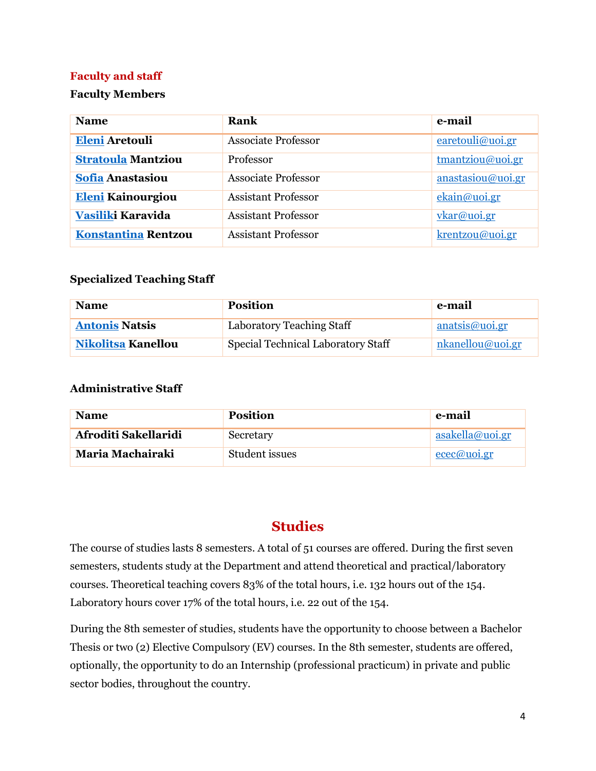#### **Faculty and staff**

#### **Faculty Members**

| <b>Name</b>                | Rank                       | e-mail                      |
|----------------------------|----------------------------|-----------------------------|
| <b>Eleni Aretouli</b>      | <b>Associate Professor</b> | $\frac{earetouli@uoi.gr}{}$ |
| <b>Stratoula Mantziou</b>  | Professor                  | tmantziou@uoi.gr            |
| <b>Sofia Anastasiou</b>    | <b>Associate Professor</b> | anastasiou@uoi.gr           |
| <b>Eleni Kainourgiou</b>   | <b>Assistant Professor</b> | ekain@uoi.gr                |
| Vasiliki Karavida          | <b>Assistant Professor</b> | vkar@uoi.gr                 |
| <b>Konstantina Rentzou</b> | <b>Assistant Professor</b> | krentzou@uoi.gr             |

#### **Specialized Teaching Staff**

| <b>Name</b>               | <b>Position</b>                    | e-mail           |
|---------------------------|------------------------------------|------------------|
| <b>Antonis Natsis</b>     | Laboratory Teaching Staff          | anatsis@uoi.gr   |
| <b>Nikolitsa Kanellou</b> | Special Technical Laboratory Staff | nkanellou@uoi.gr |

#### **Administrative Staff**

| <b>Name</b>          | <b>Position</b> | e-mail          |
|----------------------|-----------------|-----------------|
| Afroditi Sakellaridi | Secretary       | asakella@uoi.gr |
| Maria Machairaki     | Student issues  | ecec@uoi.gr     |

# **Studies**

The course of studies lasts 8 semesters. A total of 51 courses are offered. During the first seven semesters, students study at the Department and attend theoretical and practical/laboratory courses. Theoretical teaching covers 83% of the total hours, i.e. 132 hours out of the 154. Laboratory hours cover 17% of the total hours, i.e. 22 out of the 154.

During the 8th semester of studies, students have the opportunity to choose between a Bachelor Thesis or two (2) Elective Compulsory (EV) courses. In the 8th semester, students are offered, optionally, the opportunity to do an Internship (professional practicum) in private and public sector bodies, throughout the country.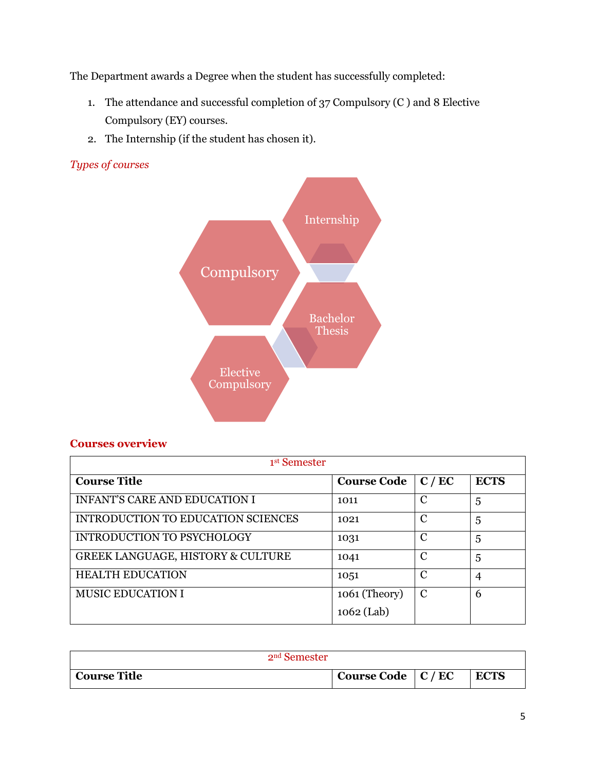The Department awards a Degree when the student has successfully completed:

- 1. The attendance and successful completion of 37 Compulsory (C ) and 8 Elective Compulsory (EY) courses.
- 2. The Internship (if the student has chosen it).

#### *Types of courses*



#### **Courses overview**

| 1 <sup>st</sup> Semester             |                    |               |             |
|--------------------------------------|--------------------|---------------|-------------|
| <b>Course Title</b>                  | <b>Course Code</b> | C/EC          | <b>ECTS</b> |
| <b>INFANT'S CARE AND EDUCATION I</b> | 1011               | C             | 5           |
| INTRODUCTION TO EDUCATION SCIENCES   | 1021               | C             | 5           |
| <b>INTRODUCTION TO PSYCHOLOGY</b>    | 1031               | C             | 5           |
| GREEK LANGUAGE, HISTORY & CULTURE    | 1041               | C             | 5           |
| <b>HEALTH EDUCATION</b>              | 1051               | C             | 4           |
| <b>MUSIC EDUCATION I</b>             | 1061 (Theory)      | $\mathcal{C}$ | 6           |
|                                      | $1062$ (Lab)       |               |             |

| 2 <sup>nd</sup> Semester |                           |  |             |
|--------------------------|---------------------------|--|-------------|
| <b>Course Title</b>      | Course Code $\mid$ C / EC |  | <b>ECTS</b> |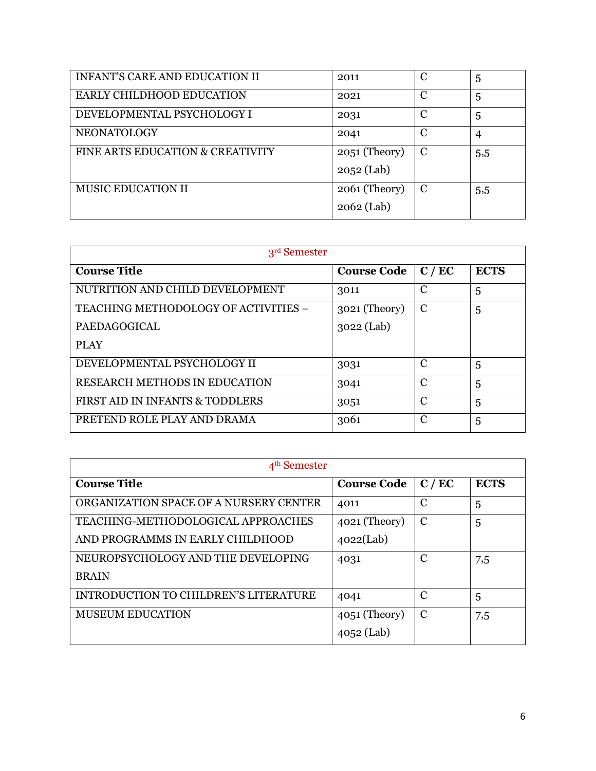| <b>INFANT'S CARE AND EDUCATION II</b> | 2011            | C | 5   |
|---------------------------------------|-----------------|---|-----|
| EARLY CHILDHOOD EDUCATION             | 2021            | С | 5   |
| DEVELOPMENTAL PSYCHOLOGY I            | 2031            | С | 5   |
| <b>NEONATOLOGY</b>                    | 2041            | C | 4   |
| FINE ARTS EDUCATION & CREATIVITY      | $2051$ (Theory) | C | 5,5 |
|                                       | $2052$ (Lab)    |   |     |
| MUSIC EDUCATION II                    | $2061$ (Theory) | C | 5,5 |
|                                       | $2062$ (Lab)    |   |     |

| 3 <sup>rd</sup> Semester             |                    |               |             |
|--------------------------------------|--------------------|---------------|-------------|
| <b>Course Title</b>                  | <b>Course Code</b> | C/EC          | <b>ECTS</b> |
| NUTRITION AND CHILD DEVELOPMENT      | 3011               | C             | 5           |
| TEACHING METHODOLOGY OF ACTIVITIES - | 3021 (Theory)      | $\mathcal{C}$ | 5           |
| <b>PAEDAGOGICAL</b>                  | $3022$ (Lab)       |               |             |
| PLAY                                 |                    |               |             |
| DEVELOPMENTAL PSYCHOLOGY II          | 3031               | C             | 5           |
| <b>RESEARCH METHODS IN EDUCATION</b> | 3041               | C             | 5           |
| FIRST AID IN INFANTS & TODDLERS      | 3051               | C             | 5           |
| PRETEND ROLE PLAY AND DRAMA          | 3061               | $\mathcal{C}$ | 5           |

| 4 <sup>th</sup> Semester               |                    |               |             |
|----------------------------------------|--------------------|---------------|-------------|
| <b>Course Title</b>                    | <b>Course Code</b> | C/EC          | <b>ECTS</b> |
| ORGANIZATION SPACE OF A NURSERY CENTER | 4011               | $\mathcal{C}$ | 5           |
| TEACHING-METHODOLOGICAL APPROACHES     | $4021$ (Theory)    | $\mathcal{C}$ | 5           |
| AND PROGRAMMS IN EARLY CHILDHOOD       | 4022(Lab)          |               |             |
| NEUROPSYCHOLOGY AND THE DEVELOPING     | 4031               | C             | 7,5         |
| <b>BRAIN</b>                           |                    |               |             |
| INTRODUCTION TO CHILDREN'S LITERATURE  | 4041               | C             | 5           |
| <b>MUSEUM EDUCATION</b>                | $4051$ (Theory)    | C             | 7,5         |
|                                        | 4052 (Lab)         |               |             |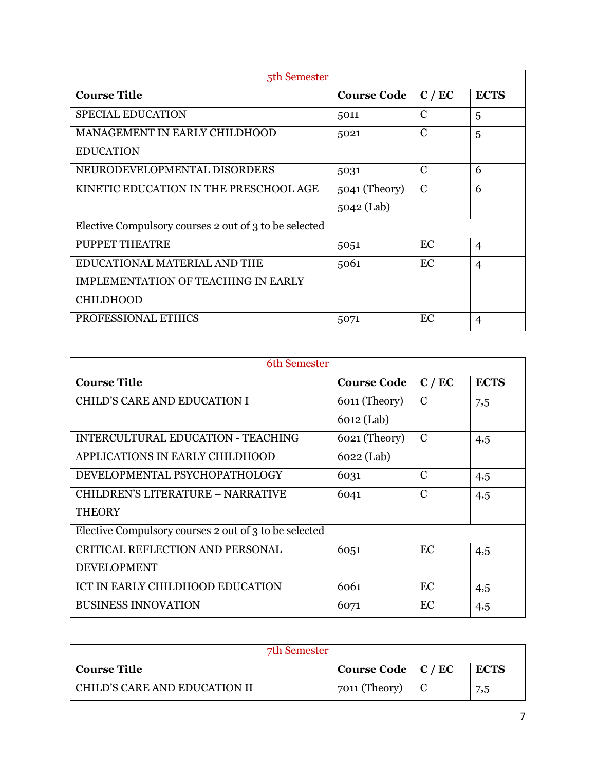| 5th Semester                                          |                    |               |                |
|-------------------------------------------------------|--------------------|---------------|----------------|
| <b>Course Title</b>                                   | <b>Course Code</b> | C / EC        | <b>ECTS</b>    |
| <b>SPECIAL EDUCATION</b>                              | 5011               | C             | 5              |
| MANAGEMENT IN EARLY CHILDHOOD                         | 5021               | $\mathcal{C}$ | 5              |
| <b>EDUCATION</b>                                      |                    |               |                |
| NEURODEVELOPMENTAL DISORDERS                          | 5031               | C             | 6              |
| KINETIC EDUCATION IN THE PRESCHOOL AGE                | 5041 (Theory)      | $\mathcal{C}$ | 6              |
|                                                       | 5042 (Lab)         |               |                |
| Elective Compulsory courses 2 out of 3 to be selected |                    |               |                |
| PUPPET THEATRE                                        | 5051               | EC            | $\overline{4}$ |
| EDUCATIONAL MATERIAL AND THE                          | 5061               | EC            | $\overline{4}$ |
| IMPLEMENTATION OF TEACHING IN EARLY                   |                    |               |                |
| <b>CHILDHOOD</b>                                      |                    |               |                |
| PROFESSIONAL ETHICS                                   | 5071               | EC            | $\overline{4}$ |

| 6th Semester                                          |                    |               |             |  |
|-------------------------------------------------------|--------------------|---------------|-------------|--|
| <b>Course Title</b>                                   | <b>Course Code</b> | C / EC        | <b>ECTS</b> |  |
| CHILD'S CARE AND EDUCATION I                          | 6011 (Theory)      | $\mathcal{C}$ | 7,5         |  |
|                                                       | 6012 (Lab)         |               |             |  |
| INTERCULTURAL EDUCATION - TEACHING                    | 6021 (Theory)      | $\mathbf C$   | 4,5         |  |
| APPLICATIONS IN EARLY CHILDHOOD                       | 6022 (Lab)         |               |             |  |
| DEVELOPMENTAL PSYCHOPATHOLOGY                         | 6031               | $\mathcal{C}$ | 4,5         |  |
| <b>CHILDREN'S LITERATURE - NARRATIVE</b>              | 6041               | $\mathcal{C}$ | 4,5         |  |
| <b>THEORY</b>                                         |                    |               |             |  |
| Elective Compulsory courses 2 out of 3 to be selected |                    |               |             |  |
| CRITICAL REFLECTION AND PERSONAL                      | 6051               | EC            | 4,5         |  |
| <b>DEVELOPMENT</b>                                    |                    |               |             |  |
| ICT IN EARLY CHILDHOOD EDUCATION                      | 6061               | EC            | 4,5         |  |
| <b>BUSINESS INNOVATION</b>                            | 6071               | EC            | 4,5         |  |

| 7th Semester                  |                      |  |             |
|-------------------------------|----------------------|--|-------------|
| <b>Course Title</b>           | Course Code   C / EC |  | <b>ECTS</b> |
| CHILD'S CARE AND EDUCATION II | 7011 (Theory)        |  | 7,5         |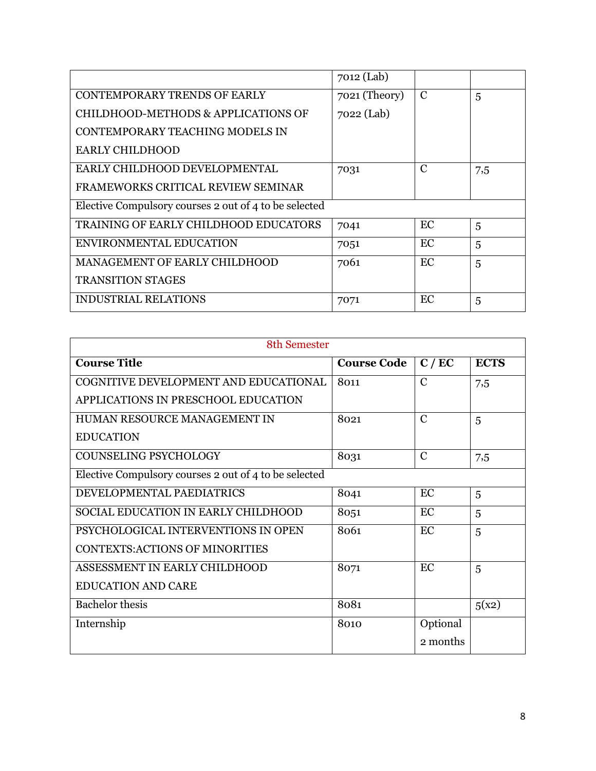|                                                       | 7012 (Lab)    |    |     |
|-------------------------------------------------------|---------------|----|-----|
| <b>CONTEMPORARY TRENDS OF EARLY</b>                   | 7021 (Theory) | C  | 5   |
| CHILDHOOD-METHODS & APPLICATIONS OF                   | 7022 (Lab)    |    |     |
| CONTEMPORARY TEACHING MODELS IN                       |               |    |     |
| <b>EARLY CHILDHOOD</b>                                |               |    |     |
| EARLY CHILDHOOD DEVELOPMENTAL                         | 7031          | C  | 7,5 |
| FRAMEWORKS CRITICAL REVIEW SEMINAR                    |               |    |     |
| Elective Compulsory courses 2 out of 4 to be selected |               |    |     |
| TRAINING OF EARLY CHILDHOOD EDUCATORS                 | 7041          | EC | 5   |
| ENVIRONMENTAL EDUCATION                               | 7051          | EC | 5   |
| MANAGEMENT OF EARLY CHILDHOOD                         | 7061          | EC | 5   |
| <b>TRANSITION STAGES</b>                              |               |    |     |
| <b>INDUSTRIAL RELATIONS</b>                           | 7071          | EC | 5   |

| 8th Semester                                          |                    |                |             |
|-------------------------------------------------------|--------------------|----------------|-------------|
| <b>Course Title</b>                                   | <b>Course Code</b> | C/EC           | <b>ECTS</b> |
| COGNITIVE DEVELOPMENT AND EDUCATIONAL                 | 8011               | $\overline{C}$ | 7,5         |
| APPLICATIONS IN PRESCHOOL EDUCATION                   |                    |                |             |
| HUMAN RESOURCE MANAGEMENT IN                          | 8021               | $\mathbf C$    | 5           |
| <b>EDUCATION</b>                                      |                    |                |             |
| <b>COUNSELING PSYCHOLOGY</b>                          | 8031               | $\overline{C}$ | 7,5         |
| Elective Compulsory courses 2 out of 4 to be selected |                    |                |             |
| DEVELOPMENTAL PAEDIATRICS                             | 8041               | EC             | 5           |
| SOCIAL EDUCATION IN EARLY CHILDHOOD                   | 8051               | EC             | 5           |
| PSYCHOLOGICAL INTERVENTIONS IN OPEN                   | 8061               | EC             | 5           |
| <b>CONTEXTS:ACTIONS OF MINORITIES</b>                 |                    |                |             |
| ASSESSMENT IN EARLY CHILDHOOD                         | 8071               | EC             | 5           |
| <b>EDUCATION AND CARE</b>                             |                    |                |             |
| <b>Bachelor</b> thesis                                | 8081               |                | 5(x2)       |
| Internship                                            | 8010               | Optional       |             |
|                                                       |                    | 2 months       |             |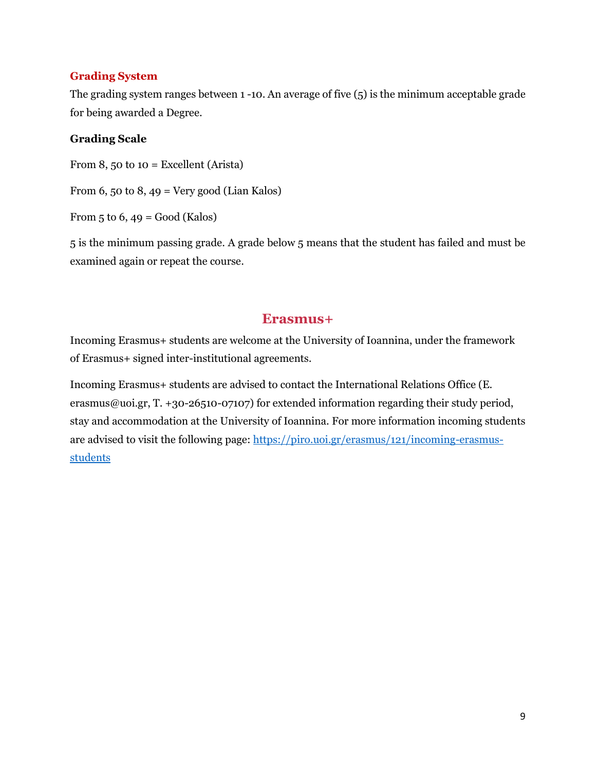#### **Grading System**

The grading system ranges between 1 -10. An average of five (5) is the minimum acceptable grade for being awarded a Degree.

#### **Grading Scale**

From 8, 50 to  $10 =$  Excellent (Arista)

From 6, 50 to 8, 49 = Very good (Lian Kalos)

From  $5$  to  $6$ ,  $49$  = Good (Kalos)

5 is the minimum passing grade. A grade below 5 means that the student has failed and must be examined again or repeat the course.

#### **Erasmus+**

Incoming Erasmus+ students are welcome at the University of Ioannina, under the framework of Erasmus+ signed inter-institutional agreements.

Incoming Erasmus+ students are advised to contact the International Relations Office (E. erasmus@uoi.gr, T. +30-26510-07107) for extended information regarding their study period, stay and accommodation at the University of Ioannina. For more information incoming students are advised to visit the following page: [https://piro.uoi.gr/erasmus/121/incoming-erasmus](https://piro.uoi.gr/erasmus/121/incoming-erasmus-students)[students](https://piro.uoi.gr/erasmus/121/incoming-erasmus-students)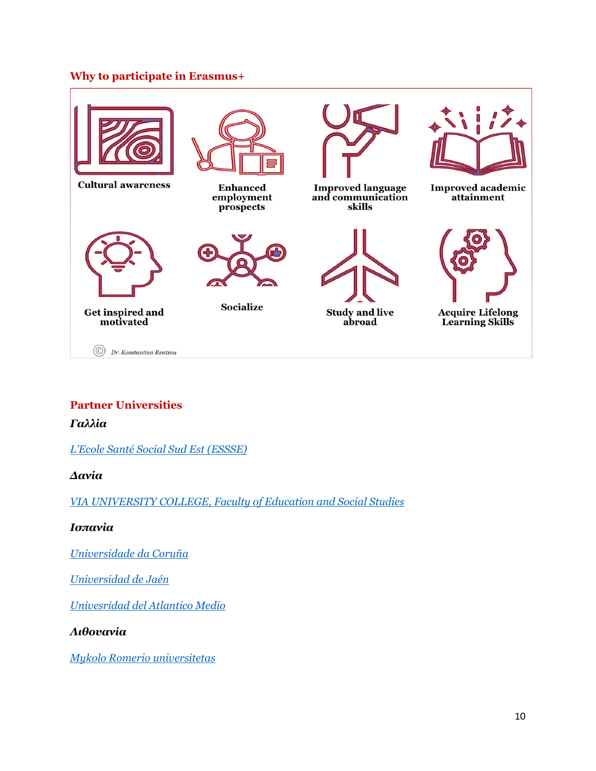#### **Why to participate in Erasmus+**



## **Partner Universities**

*Γαλλία*

*[L'Ecole Santé Social Sud Est \(ESSSE\)](http://www.essse.fr/international/accueil/venir-etudier-a-lessse/)*

*Δανία*

*[VIA UNIVERSITY COLLEGE, Faculty of Education and Social Studies](http://www.viauc.com/)*

*Ισπανία*

*[Universidade da Coruña](http://extranjeros.empleo.gob.es/es/InformacionInteres/InformacionProcedimientos/Ciudadanosnocomunitarios/estudiantes.html)*

*[Universidad de Jaén](http://www.udc.es/ori/Infestudantesextranxeiros/mobilidade%20Erasmus/quia%20acollida%20UDC/aloxamento.html)*

*[Univesridad del Atlantico Medio](https://www.universidadatlanticomedio.es/universidad/internacional)*

*Λιθουανία*

*[Mykolo Romerio universitetas](http://www.mruni.eu/en/prospective_students/erasmus/)*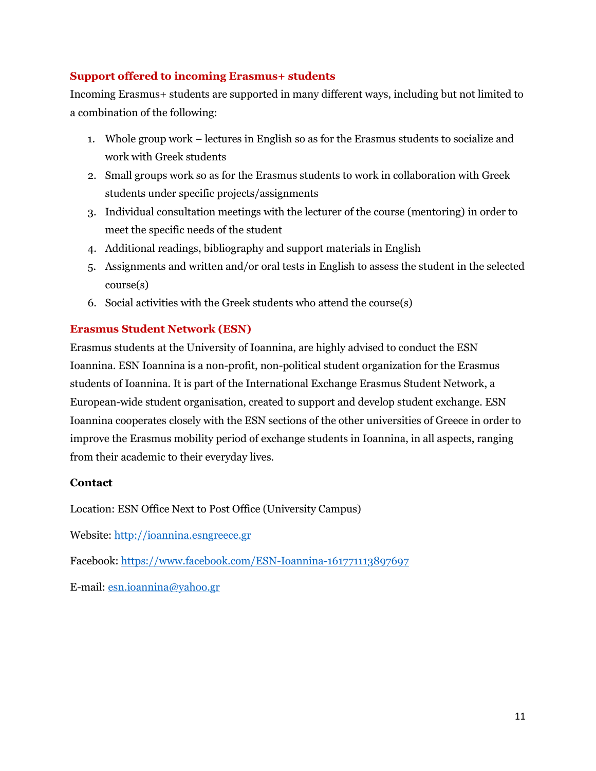#### **Support offered to incoming Erasmus+ students**

Incoming Erasmus+ students are supported in many different ways, including but not limited to a combination of the following:

- 1. Whole group work lectures in English so as for the Erasmus students to socialize and work with Greek students
- 2. Small groups work so as for the Erasmus students to work in collaboration with Greek students under specific projects/assignments
- 3. Individual consultation meetings with the lecturer of the course (mentoring) in order to meet the specific needs of the student
- 4. Additional readings, bibliography and support materials in English
- 5. Assignments and written and/or oral tests in English to assess the student in the selected course(s)
- 6. Social activities with the Greek students who attend the course(s)

## **Erasmus Student Network (ESN)**

Erasmus students at the University of Ioannina, are highly advised to conduct the ESN Ioannina. ESN Ioannina is a non-profit, non-political student organization for the Erasmus students of Ioannina. It is part of the International Exchange Erasmus Student Network, a European-wide student organisation, created to support and develop student exchange. ESN Ioannina cooperates closely with the ESN sections of the other universities of Greece in order to improve the Erasmus mobility period of exchange students in Ioannina, in all aspects, ranging from their academic to their everyday lives.

#### **Contact**

Location: ESN Office Next to Post Office (University Campus)

Website: [http://ioannina.esngreece.gr](http://ioannina.esngreece.gr/)

Facebook: <https://www.facebook.com/ESN-Ioannina-161771113897697>

E-mail: [esn.ioannina@yahoo.gr](mailto:esn.ioannina@yahoo.gr)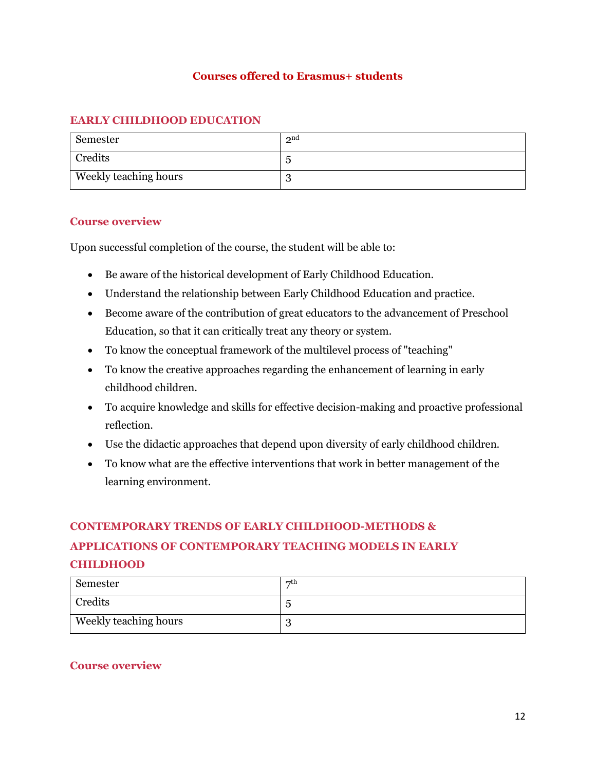#### **Courses offered to Erasmus+ students**

#### **EARLY CHILDHOOD EDUCATION**

| Semester              | 2 <sup>nd</sup> |
|-----------------------|-----------------|
| Credits               | .,              |
| Weekly teaching hours | ັ               |

#### **Course overview**

Upon successful completion of the course, the student will be able to:

- Be aware of the historical development of Early Childhood Education.
- Understand the relationship between Early Childhood Education and practice.
- Become aware of the contribution of great educators to the advancement of Preschool Education, so that it can critically treat any theory or system.
- To know the conceptual framework of the multilevel process of "teaching"
- To know the creative approaches regarding the enhancement of learning in early childhood children.
- To acquire knowledge and skills for effective decision-making and proactive professional reflection.
- Use the didactic approaches that depend upon diversity of early childhood children.
- To know what are the effective interventions that work in better management of the learning environment.

#### **CONTEMPORARY TRENDS OF EARLY CHILDHOOD-METHODS &**

# **APPLICATIONS OF CONTEMPORARY TEACHING MODELS IN EARLY CHILDHOOD**

| Semester                     | $\neg$ th |
|------------------------------|-----------|
| Credits                      |           |
| <b>Weekly teaching hours</b> | ັ         |

#### **Course overview**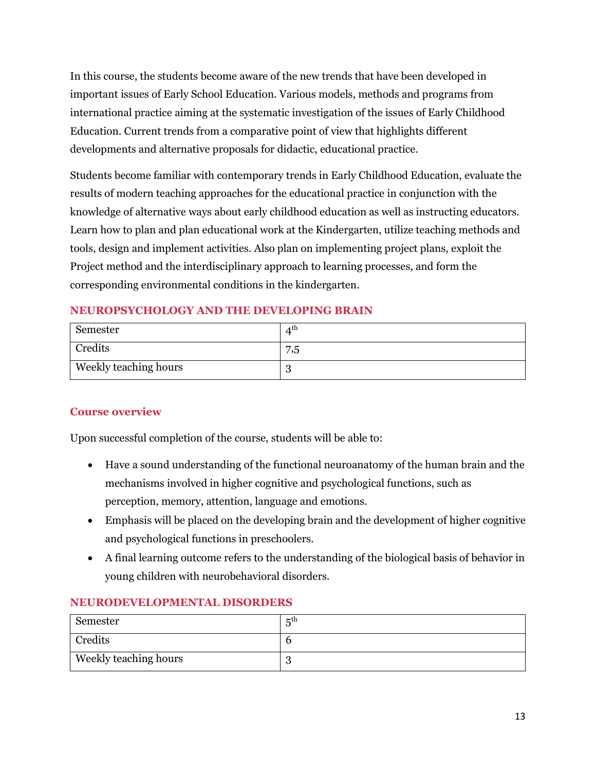In this course, the students become aware of the new trends that have been developed in important issues of Early School Education. Various models, methods and programs from international practice aiming at the systematic investigation of the issues of Early Childhood Education. Current trends from a comparative point of view that highlights different developments and alternative proposals for didactic, educational practice.

Students become familiar with contemporary trends in Early Childhood Education, evaluate the results of modern teaching approaches for the educational practice in conjunction with the knowledge of alternative ways about early childhood education as well as instructing educators. Learn how to plan and plan educational work at the Kindergarten, utilize teaching methods and tools, design and implement activities. Also plan on implementing project plans, exploit the Project method and the interdisciplinary approach to learning processes, and form the corresponding environmental conditions in the kindergarten.

## **NEUROPSYCHOLOGY AND THE DEVELOPING BRAIN**

| Semester              | $\Lambda^{\text{th}}$ |
|-----------------------|-----------------------|
| Credits               | 7,5                   |
| Weekly teaching hours | ັ                     |

## **Course overview**

Upon successful completion of the course, students will be able to:

- Have a sound understanding of the functional neuroanatomy of the human brain and the mechanisms involved in higher cognitive and psychological functions, such as perception, memory, attention, language and emotions.
- Emphasis will be placed on the developing brain and the development of higher cognitive and psychological functions in preschoolers.
- A final learning outcome refers to the understanding of the biological basis of behavior in young children with neurobehavioral disorders.

#### **NEURODEVELOPMENTAL DISORDERS**

| Semester                     | $\mathbf{r}^{\text{th}}$ |
|------------------------------|--------------------------|
| Credits                      |                          |
| <b>Weekly teaching hours</b> |                          |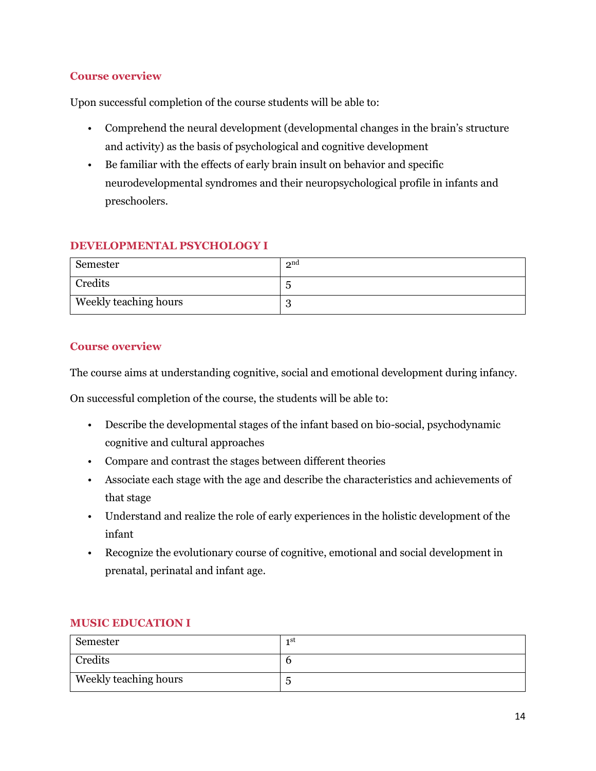#### **Course overview**

Upon successful completion of the course students will be able to:

- Comprehend the neural development (developmental changes in the brain's structure and activity) as the basis of psychological and cognitive development
- Be familiar with the effects of early brain insult on behavior and specific neurodevelopmental syndromes and their neuropsychological profile in infants and preschoolers.

## **DEVELOPMENTAL PSYCHOLOGY I**

| Semester              | 2 <sup>nd</sup> |
|-----------------------|-----------------|
| Credits               |                 |
| Weekly teaching hours | ∩<br>ື          |

#### **Course overview**

The course aims at understanding cognitive, social and emotional development during infancy.

On successful completion of the course, the students will be able to:

- Describe the developmental stages of the infant based on bio-social, psychodynamic cognitive and cultural approaches
- Compare and contrast the stages between different theories
- Associate each stage with the age and describe the characteristics and achievements of that stage
- Understand and realize the role of early experiences in the holistic development of the infant
- Recognize the evolutionary course of cognitive, emotional and social development in prenatal, perinatal and infant age.

#### **MUSIC EDUCATION I**

| Semester                     | 1st |
|------------------------------|-----|
| Credits                      |     |
| <b>Weekly teaching hours</b> | ັ   |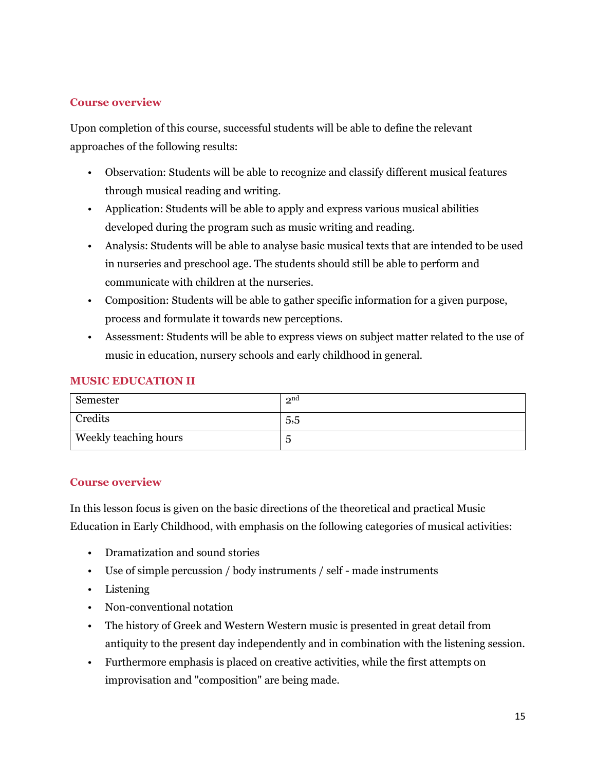#### **Course overview**

Upon completion of this course, successful students will be able to define the relevant approaches of the following results:

- Observation: Students will be able to recognize and classify different musical features through musical reading and writing.
- Application: Students will be able to apply and express various musical abilities developed during the program such as music writing and reading.
- Analysis: Students will be able to analyse basic musical texts that are intended to be used in nurseries and preschool age. The students should still be able to perform and communicate with children at the nurseries.
- Composition: Students will be able to gather specific information for a given purpose, process and formulate it towards new perceptions.
- Assessment: Students will be able to express views on subject matter related to the use of music in education, nursery schools and early childhood in general.

#### **MUSIC EDUCATION IΙ**

| Semester              | 2 <sup>nd</sup> |
|-----------------------|-----------------|
| Credits               | 5,5             |
| Weekly teaching hours |                 |

#### **Course overview**

In this lesson focus is given on the basic directions of the theoretical and practical Music Education in Early Childhood, with emphasis on the following categories of musical activities:

- Dramatization and sound stories
- Use of simple percussion / body instruments / self made instruments
- Listening
- Non-conventional notation
- The history of Greek and Western Western music is presented in great detail from antiquity to the present day independently and in combination with the listening session.
- Furthermore emphasis is placed on creative activities, while the first attempts on improvisation and "composition" are being made.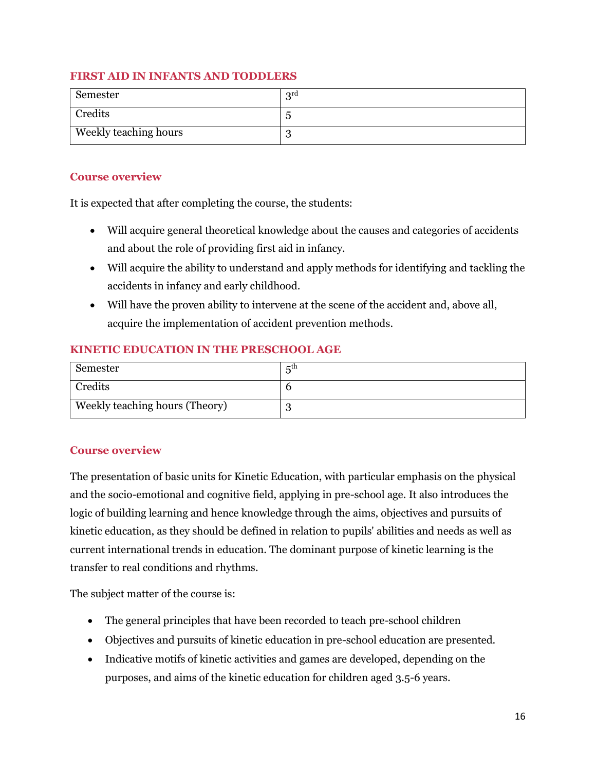#### **FIRST AID IN INFANTS AND TODDLERS**

| Semester              | $q^{rd}$ |
|-----------------------|----------|
| Credits               |          |
| Weekly teaching hours | ັ        |

#### **Course overview**

It is expected that after completing the course, the students:

- Will acquire general theoretical knowledge about the causes and categories of accidents and about the role of providing first aid in infancy.
- Will acquire the ability to understand and apply methods for identifying and tackling the accidents in infancy and early childhood.
- Will have the proven ability to intervene at the scene of the accident and, above all, acquire the implementation of accident prevention methods.

#### **KINETIC EDUCATION IN THE PRESCHOOL AGE**

| Semester                       | $\mathbf{r}^{\text{th}}$ |
|--------------------------------|--------------------------|
| Credits                        |                          |
| Weekly teaching hours (Theory) |                          |

#### **Course overview**

The presentation of basic units for Kinetic Education, with particular emphasis on the physical and the socio-emotional and cognitive field, applying in pre-school age. It also introduces the logic of building learning and hence knowledge through the aims, objectives and pursuits of kinetic education, as they should be defined in relation to pupils' abilities and needs as well as current international trends in education. The dominant purpose of kinetic learning is the transfer to real conditions and rhythms.

The subject matter of the course is:

- The general principles that have been recorded to teach pre-school children
- Objectives and pursuits of kinetic education in pre-school education are presented.
- Indicative motifs of kinetic activities and games are developed, depending on the purposes, and aims of the kinetic education for children aged 3.5-6 years.